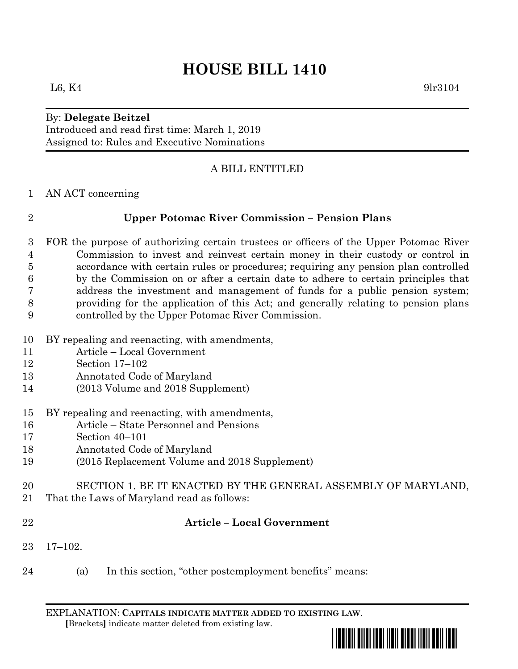# **HOUSE BILL 1410**

## $L6, K4$  9lr3104

# By: **Delegate Beitzel**

Introduced and read first time: March 1, 2019 Assigned to: Rules and Executive Nominations

## A BILL ENTITLED

AN ACT concerning

#### **Upper Potomac River Commission – Pension Plans**

- FOR the purpose of authorizing certain trustees or officers of the Upper Potomac River Commission to invest and reinvest certain money in their custody or control in accordance with certain rules or procedures; requiring any pension plan controlled by the Commission on or after a certain date to adhere to certain principles that address the investment and management of funds for a public pension system; providing for the application of this Act; and generally relating to pension plans controlled by the Upper Potomac River Commission.
- BY repealing and reenacting, with amendments,
- Article Local Government
- Section 17–102
- Annotated Code of Maryland
- (2013 Volume and 2018 Supplement)
- BY repealing and reenacting, with amendments,
- Article State Personnel and Pensions
- Section 40–101
- Annotated Code of Maryland
- (2015 Replacement Volume and 2018 Supplement)
- SECTION 1. BE IT ENACTED BY THE GENERAL ASSEMBLY OF MARYLAND,
- That the Laws of Maryland read as follows:
- 

#### **Article – Local Government**

- 17–102.
- (a) In this section, "other postemployment benefits" means:

EXPLANATION: **CAPITALS INDICATE MATTER ADDED TO EXISTING LAW**.  **[**Brackets**]** indicate matter deleted from existing law.

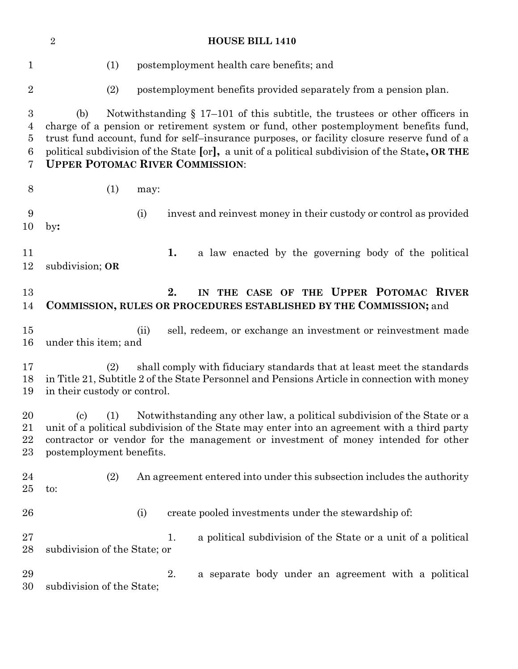|                                                                | $\overline{2}$<br><b>HOUSE BILL 1410</b>                                                                                                                                                                                                                                                                                                                                                                                    |
|----------------------------------------------------------------|-----------------------------------------------------------------------------------------------------------------------------------------------------------------------------------------------------------------------------------------------------------------------------------------------------------------------------------------------------------------------------------------------------------------------------|
| $\mathbf{1}$                                                   | (1)<br>postemployment health care benefits; and                                                                                                                                                                                                                                                                                                                                                                             |
| $\boldsymbol{2}$                                               | (2)<br>postemployment benefits provided separately from a pension plan.                                                                                                                                                                                                                                                                                                                                                     |
| $\boldsymbol{3}$<br>$\overline{4}$<br>$\overline{5}$<br>6<br>7 | Notwithstanding $\S 17-101$ of this subtitle, the trustees or other officers in<br>(b)<br>charge of a pension or retirement system or fund, other postemployment benefits fund,<br>trust fund account, fund for self-insurance purposes, or facility closure reserve fund of a<br>political subdivision of the State [or], a unit of a political subdivision of the State, OR THE<br><b>UPPER POTOMAC RIVER COMMISSION:</b> |
| 8                                                              | (1)<br>may:                                                                                                                                                                                                                                                                                                                                                                                                                 |
| $\boldsymbol{9}$<br>10                                         | invest and reinvest money in their custody or control as provided<br>(i)<br>$\mathbf{by:}$                                                                                                                                                                                                                                                                                                                                  |
| 11<br>12                                                       | 1.<br>a law enacted by the governing body of the political<br>subdivision; OR                                                                                                                                                                                                                                                                                                                                               |
| 13<br>14                                                       | 2.<br>IN THE CASE OF THE UPPER POTOMAC RIVER<br>COMMISSION, RULES OR PROCEDURES ESTABLISHED BY THE COMMISSION; and                                                                                                                                                                                                                                                                                                          |
| 15<br>16                                                       | sell, redeem, or exchange an investment or reinvestment made<br>(ii)<br>under this item; and                                                                                                                                                                                                                                                                                                                                |
| 17<br>18<br>19                                                 | shall comply with fiduciary standards that at least meet the standards<br>(2)<br>in Title 21, Subtitle 2 of the State Personnel and Pensions Article in connection with money<br>in their custody or control.                                                                                                                                                                                                               |
| 20<br>21<br>$\bf 22$<br>23                                     | (c) (1) Notwithstanding any other law, a political subdivision of the State or a<br>unit of a political subdivision of the State may enter into an agreement with a third party<br>contractor or vendor for the management or investment of money intended for other<br>postemployment benefits.                                                                                                                            |
| 24<br>25                                                       | An agreement entered into under this subsection includes the authority<br>(2)<br>to:                                                                                                                                                                                                                                                                                                                                        |
| 26                                                             | create pooled investments under the stewardship of:<br>(i)                                                                                                                                                                                                                                                                                                                                                                  |
| 27<br>28                                                       | a political subdivision of the State or a unit of a political<br>1.<br>subdivision of the State; or                                                                                                                                                                                                                                                                                                                         |
| 29<br>30                                                       | 2.<br>a separate body under an agreement with a political<br>subdivision of the State;                                                                                                                                                                                                                                                                                                                                      |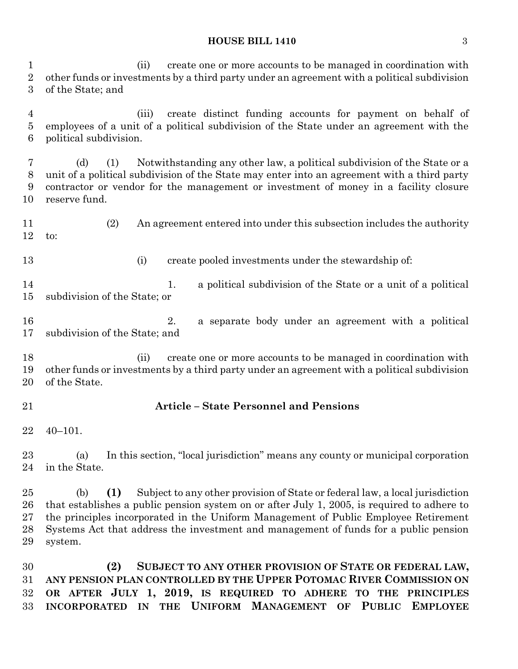#### **HOUSE BILL 1410** 3

 (ii) create one or more accounts to be managed in coordination with other funds or investments by a third party under an agreement with a political subdivision of the State; and

 (iii) create distinct funding accounts for payment on behalf of employees of a unit of a political subdivision of the State under an agreement with the political subdivision.

 (d) (1) Notwithstanding any other law, a political subdivision of the State or a unit of a political subdivision of the State may enter into an agreement with a third party contractor or vendor for the management or investment of money in a facility closure reserve fund.

 (2) An agreement entered into under this subsection includes the authority to:

(i) create pooled investments under the stewardship of:

14 1. a political subdivision of the State or a unit of a political subdivision of the State; or

 2. a separate body under an agreement with a political subdivision of the State; and

 (ii) create one or more accounts to be managed in coordination with other funds or investments by a third party under an agreement with a political subdivision of the State.

### **Article – State Personnel and Pensions**

40–101.

 (a) In this section, "local jurisdiction" means any county or municipal corporation in the State.

 (b) **(1)** Subject to any other provision of State or federal law, a local jurisdiction that establishes a public pension system on or after July 1, 2005, is required to adhere to the principles incorporated in the Uniform Management of Public Employee Retirement Systems Act that address the investment and management of funds for a public pension system.

 **(2) SUBJECT TO ANY OTHER PROVISION OF STATE OR FEDERAL LAW, ANY PENSION PLAN CONTROLLED BY THE UPPER POTOMAC RIVER COMMISSION ON OR AFTER JULY 1, 2019, IS REQUIRED TO ADHERE TO THE PRINCIPLES INCORPORATED IN THE UNIFORM MANAGEMENT OF PUBLIC EMPLOYEE**